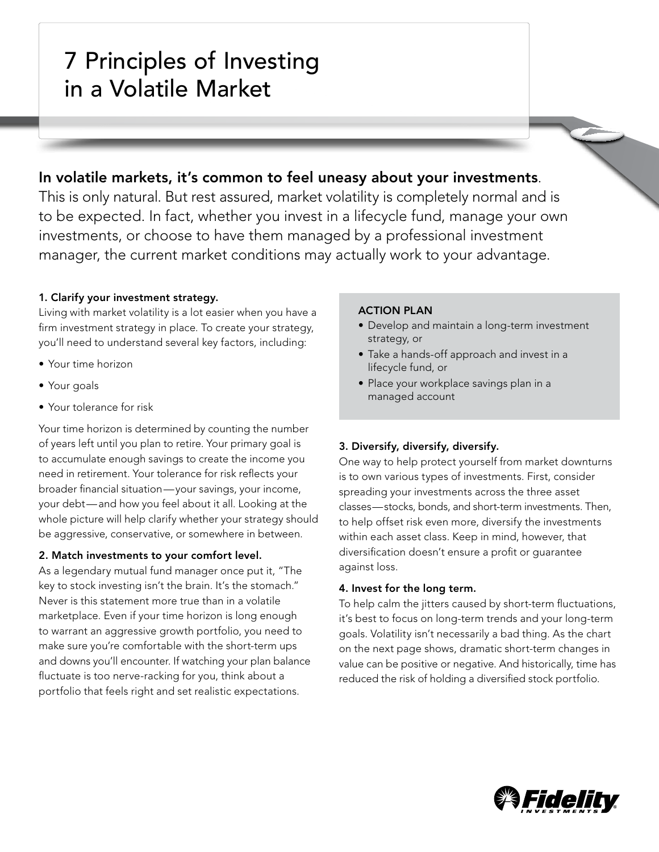# 7 Principles of Investing in a Volatile Market

## In volatile markets, it's common to feel uneasy about your investments.

This is only natural. But rest assured, market volatility is completely normal and is to be expected. In fact, whether you invest in a lifecycle fund, manage your own investments, or choose to have them managed by a professional investment manager, the current market conditions may actually work to your advantage.

## 1. Clarify your investment strategy.

Living with market volatility is a lot easier when you have a firm investment strategy in place. To create your strategy, you'll need to understand several key factors, including:

- • Your time horizon
- • Your goals
- • Your tolerance for risk

Your time horizon is determined by counting the number of years left until you plan to retire. Your primary goal is to accumulate enough savings to create the income you need in retirement. Your tolerance for risk reflects your broader financial situation—your savings, your income, your debt—and how you feel about it all. Looking at the whole picture will help clarify whether your strategy should be aggressive, conservative, or somewhere in between.

## 2. Match investments to your comfort level.

As a legendary mutual fund manager once put it, "The key to stock investing isn't the brain. It's the stomach." Never is this statement more true than in a volatile marketplace. Even if your time horizon is long enough to warrant an aggressive growth portfolio, you need to make sure you're comfortable with the short-term ups and downs you'll encounter. If watching your plan balance fluctuate is too nerve-racking for you, think about a portfolio that feels right and set realistic expectations.

## ACTION PLAN

- Develop and maintain a long-term investment strategy, or
- Take a hands-off approach and invest in a lifecycle fund, or
- Place your workplace savings plan in a managed account

## 3. Diversify, diversify, diversify.

One way to help protect yourself from market downturns is to own various types of investments. First, consider spreading your investments across the three asset classes—stocks, bonds, and short-term investments. Then, to help offset risk even more, diversify the investments within each asset class. Keep in mind, however, that diversification doesn't ensure a profit or guarantee against loss.

## 4. Invest for the long term.

To help calm the jitters caused by short-term fluctuations, it's best to focus on long-term trends and your long-term goals. Volatility isn't necessarily a bad thing. As the chart on the next page shows, dramatic short-term changes in value can be positive or negative. And historically, time has reduced the risk of holding a diversified stock portfolio.

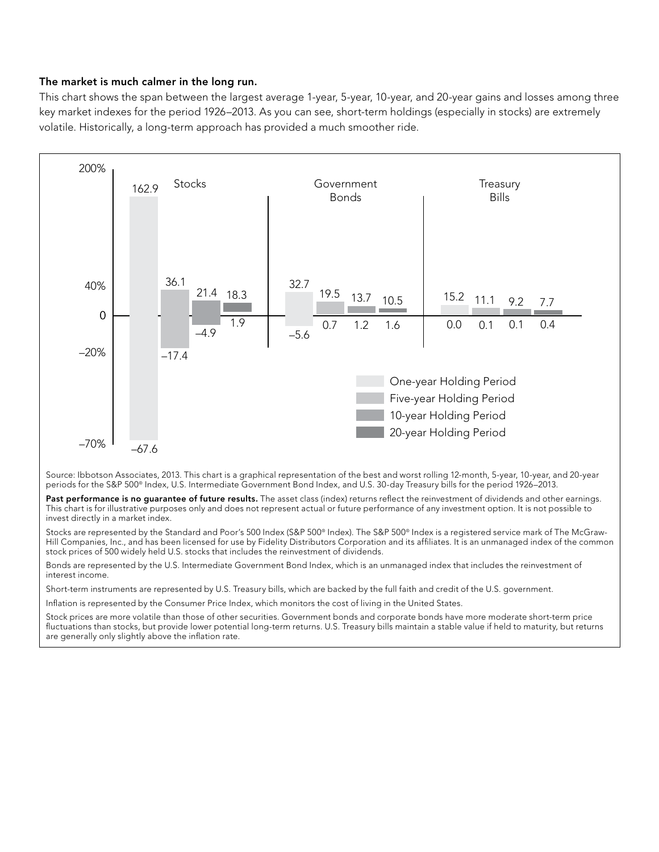#### The market is much calmer in the long run.

This chart shows the span between the largest average 1-year, 5-year, 10-year, and 20-year gains and losses among three key market indexes for the period 1926–2013. As you can see, short-term holdings (especially in stocks) are extremely volatile. Historically, a long-term approach has provided a much smoother ride.



Source: Ibbotson Associates, 2013. This chart is a graphical representation of the best and worst rolling 12-month, 5-year, 10-year, and 20-year periods for the S&P 500® Index, U.S. Intermediate Government Bond Index, and U.S. 30-day Treasury bills for the period 1926–2013.

Past performance is no quarantee of future results. The asset class (index) returns reflect the reinvestment of dividends and other earnings. This chart is for illustrative purposes only and does not represent actual or future performance of any investment option. It is not possible to invest directly in a market index.

Stocks are represented by the Standard and Poor's 500 Index (S&P 500® Index). The S&P 500® Index is a registered service mark of The McGraw-Hill Companies, Inc., and has been licensed for use by Fidelity Distributors Corporation and its affiliates. It is an unmanaged index of the common stock prices of 500 widely held U.S. stocks that includes the reinvestment of dividends.

Bonds are represented by the U.S. Intermediate Government Bond Index, which is an unmanaged index that includes the reinvestment of interest income.

Short-term instruments are represented by U.S. Treasury bills, which are backed by the full faith and credit of the U.S. government.

Inflation is represented by the Consumer Price Index, which monitors the cost of living in the United States.

Stock prices are more volatile than those of other securities. Government bonds and corporate bonds have more moderate short-term price fluctuations than stocks, but provide lower potential long-term returns. U.S. Treasury bills maintain a stable value if held to maturity, but returns are generally only slightly above the inflation rate.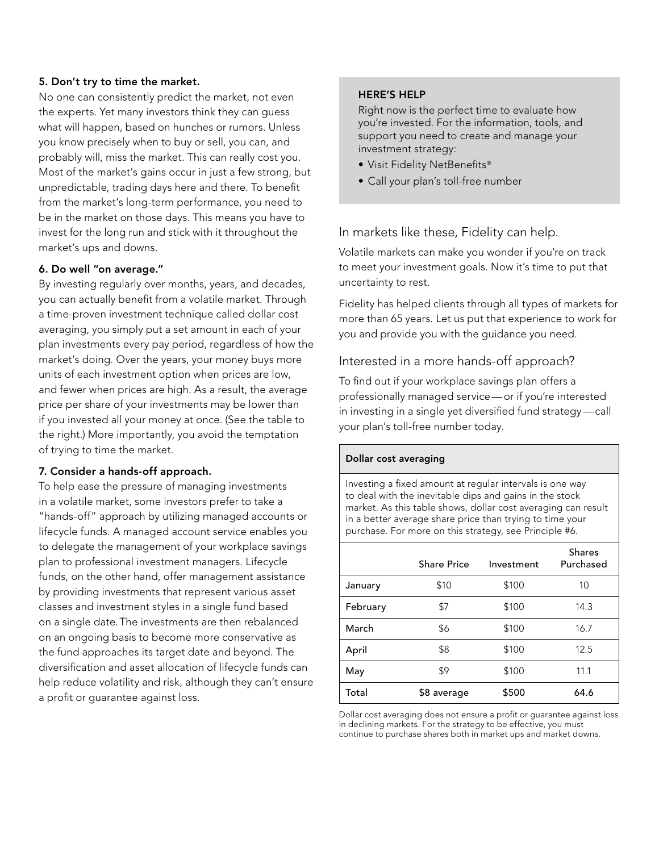#### 5. Don't try to time the market.

No one can consistently predict the market, not even the experts. Yet many investors think they can guess what will happen, based on hunches or rumors. Unless you know precisely when to buy or sell, you can, and probably will, miss the market. This can really cost you. Most of the market's gains occur in just a few strong, but unpredictable, trading days here and there. To benefit from the market's long-term performance, you need to be in the market on those days. This means you have to invest for the long run and stick with it throughout the market's ups and downs.

#### 6. Do well "on average."

By investing regularly over months, years, and decades, you can actually benefit from a volatile market. Through a time-proven investment technique called dollar cost averaging, you simply put a set amount in each of your plan investments every pay period, regardless of how the market's doing. Over the years, your money buys more units of each investment option when prices are low, and fewer when prices are high. As a result, the average price per share of your investments may be lower than if you invested all your money at once. (See the table to the right.) More importantly, you avoid the temptation of trying to time the market.

#### 7. Consider a hands-off approach.

To help ease the pressure of managing investments in a volatile market, some investors prefer to take a "hands-off" approach by utilizing managed accounts or lifecycle funds. A managed account service enables you to delegate the management of your workplace savings plan to professional investment managers. Lifecycle funds, on the other hand, offer management assistance by providing investments that represent various asset classes and investment styles in a single fund based on a single date.The investments are then rebalanced on an ongoing basis to become more conservative as the fund approaches its target date and beyond. The diversification and asset allocation of lifecycle funds can help reduce volatility and risk, although they can't ensure a profit or guarantee against loss.

#### Here's Help

Right now is the perfect time to evaluate how you're invested. For the information, tools, and support you need to create and manage your investment strategy:

- • Visit Fidelity NetBenefits®
- Call your plan's toll-free number

In markets like these, Fidelity can help.

Volatile markets can make you wonder if you're on track to meet your investment goals. Now it's time to put that uncertainty to rest.

Fidelity has helped clients through all types of markets for more than 65 years. Let us put that experience to work for you and provide you with the guidance you need.

## Interested in a more hands-off approach?

To find out if your workplace savings plan offers a professionally managed service—or if you're interested in investing in a single yet diversified fund strategy—call your plan's toll-free number today.

#### Dollar cost averaging

Investing a fixed amount at regular intervals is one way to deal with the inevitable dips and gains in the stock market. As this table shows, dollar cost averaging can result in a better average share price than trying to time your purchase. For more on this strategy, see Principle #6.

|          | Share Price | Investment | <b>Shares</b><br>Purchased |
|----------|-------------|------------|----------------------------|
| January  | \$10        | \$100      | 10                         |
| February | \$7         | \$100      | 14.3                       |
| March    | \$6         | \$100      | 16.7                       |
| April    | \$8         | \$100      | 12.5                       |
| May      | \$9         | \$100      | 11.1                       |
| Total    | \$8 average | \$500      | 64.6                       |

Dollar cost averaging does not ensure a profit or guarantee against loss in declining markets. For the strategy to be effective, you must continue to purchase shares both in market ups and market downs.